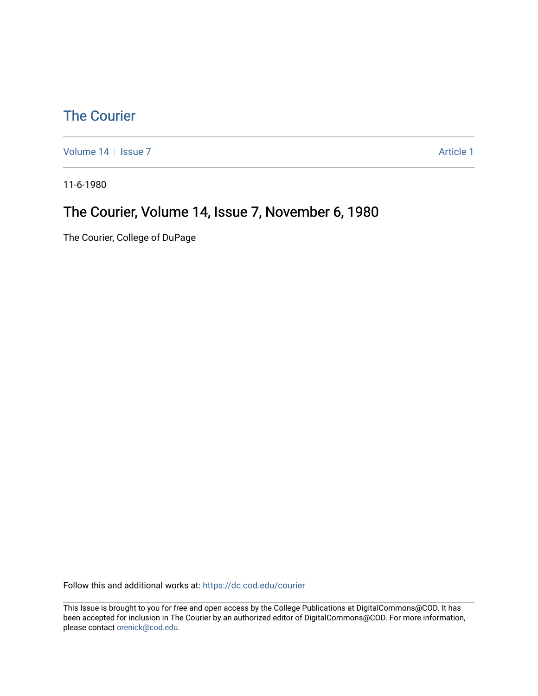### [The Courier](https://dc.cod.edu/courier)

[Volume 14](https://dc.cod.edu/courier/vol14) | [Issue 7](https://dc.cod.edu/courier/vol14/iss7) Article 1

11-6-1980

### The Courier, Volume 14, Issue 7, November 6, 1980

The Courier, College of DuPage

Follow this and additional works at: [https://dc.cod.edu/courier](https://dc.cod.edu/courier?utm_source=dc.cod.edu%2Fcourier%2Fvol14%2Fiss7%2F1&utm_medium=PDF&utm_campaign=PDFCoverPages)

This Issue is brought to you for free and open access by the College Publications at DigitalCommons@COD. It has been accepted for inclusion in The Courier by an authorized editor of DigitalCommons@COD. For more information, please contact [orenick@cod.edu.](mailto:orenick@cod.edu)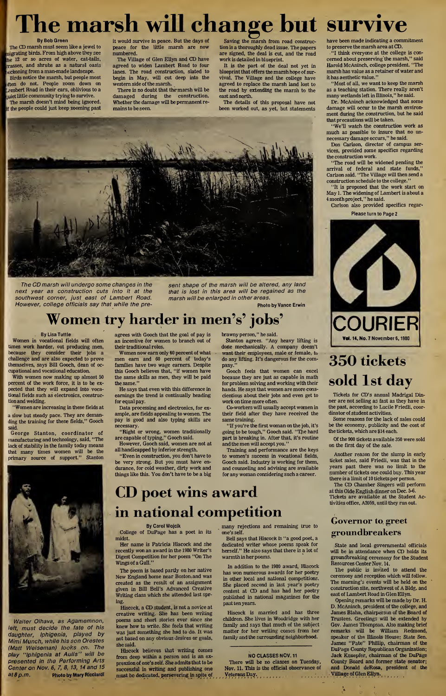# The marsh will change but survive

By Bob Green The CD marsh must seem like a jewel to nigrating birds. From high above they see he 12 or so acres of water, cat-tails, passes, and shrubs as a natural oasis ckoning from a man-made landscape. Birds notice the marsh, but people most iften do not. People zoom down on Lambert Road in their cars, oblivious to a uiet little community trying to survive. The marsh doesn't mind being ignored, f the people could just keep zooming past it would survive in peace. But the days of peace for the little marsh are now numbered.

The Village of Glen Ellyn and CD have agreed to widen Lambert Road to four lanes. The road construction, slated to begin in May, will cut deep into the western side of the marsh.

There is no doubt that themarsh will be damaged during the construction. Whether the damage will be permanent remainsto be seen.

Saving the marsh from road construction is a thoroughly dead issue. The papers are signed, the deal is cut, and the road work is detailed in blueprint.

It is the part of the deal not yet in blueprint that offers the marsh hope of survival. The Village and the college have agreed to replace the marsh land lost to the road by extending the marsh to the east and north.

The details of this proposal have not been worked out, as yet, but statements



The CD marsh will undergo some changes in the next year as construction cuts into it at the southwest corner, just east of Lambert Road. However, college officials say that while the present shape of the marsh will be altered, any land that is lost in this area will be regained as the marsh will be enlarged in other areas.

# Women try harder in men's' jobs'

By Lisa Tuttle

Women in vocational fields will often times work harder, out producing men, because they consider their jobs a challenge and are also expected to prove themselves, says Bill Gooch, dean of occupational and vocational education.

With women now making up almost 50 percent of the work force, it is to be expected that they will expand into vocational fields such as electronics, construction and welding.

"Women are increasing in these fields at a slow but steady pace. They are demanding the training for these fields," Gooch said.

George Stanton, coordinator of manufacturing and technology, said, "The lack of stability in the family today means that many times women will be the primary source of support." Stanton



Walter Olhava, as Agamemnon, left, must decide the fate of his daughter, Iphigenia, played by Mimi Munch, while his son Orestes (Matt Weiseman) looks on. The play "Iphigenia at Aulis" will be presented in the Performing Arts Center on Nov. 6, 7, 8, 13, 14 and 15 at 8p.m. Photo by Mary Rlcciardl agrees with Gooch that the goal of pay is an incentive for women to branch out of their traditional roles.

Women now earn only 60 percent of what men earn and 60 percent of today's families have two wage earners. Despite this Gooch believes that, "if women have the same skills as men, they will be paid the same."

He says that even with this difference in earnings the trend is continually heading for equal pay.

Data processing and electronics, for example, are fields appealing to women. The pay is good and also typing skills are necessary.

"Right or wrong, women traditionally are capable of typing," Gooch said.

However, Gooch said, women are not at all handicapped by inferior strength.

"Even in construction, you don't have to be very strong. But you must have en durance, for cold weather, dirty work and things like this. You don't have to be a big

brawny person," he said.

Stanton agrees. "Any heavy lifting is done mechanically. A company doesn't want their employees, male or female, to do any lifting. It's dangerous for the company."

Photo by Vance Erwin

Gooch feels that women can excel because they are just as capable in math for problem solving and working with their hands. He says that women are more conscientious about their jobs and even get to work on time more often.

Co-workers will usually accept women in their field after they have received the same training.

"If you're the first woman on the job, it's going to be tough," Gooch said. "The hard part is breaking in. After that, it's routine and the men will accept you."

Training and performance are the keys to women's success in vocational fields, Gooch said. Industry is working for them, and counseling and advising are available for any woman considering such a career.

## CD poet wins award in national competition By Carol Wojcik

College of DuPage has a poet in its midst.

Her name is Patricia Hiscock and she recently won an award in the 1980 Writer's Digest Competition for her poem "On The Wings of a Gull."

The poem is based partly on her native New England home near Boston, and was created as the result of an assignment given in Bill Bell's Advanced Creative Writing class which she attended last spring.

Hiscock, a CD student, is not a novice at creative writing. She has been writing poems and short stories ever since she knew how to write. She feels that writing was just something she had to do. It was not based on any obvious desires or goals, she said.

Hiscock believes that writing comes from deep within a person and is an expression of one's self. She admits that to be successful in writing and publishing one must be dedicated, persevering in spite of many rejections and remaining true to one's self.

Bell says that Hiscock is "a good poet, a dedicated writer whose poems speak for herself." He also says that there is a lot of warmth in her poems.

In addition to the 1980 award, Hiscock has won numerous awards for her poetry in other local and national competitions. She placed second in last year's poetry contest at CD and has had her poetry published in national magazines for the past ten years.

Hiscock is married and has three children. She lives in Woodridge with her family and says that much of the subject matter for her writing comes from her family and the surrounding neighborhood.

#### NO CLASSES NOV. 11

There will be no classes on Tuesday, Nov. 11. This is the official observance of  $j$ ,  $y$ eterans Day. have been made indicating a commitment to preserve the marsh area at CD.

"I think everyone at the college is con cerned about preserving the marsh," said Harold McAninch, college president. "The marsh has value as a retainer of water and it has aesthetic value."

"Most of all, we want to keep the marsh as a teaching station. There really aren't many wetlandsleft in Illinois," he said.

Dr. McAninch acknowledged that some damage will occur to the marsh environment during the construction, but he said that precautions will be taken.

"We'll watch the construction work as much as possible to insure that no un necessary damage occurs," he said.

Don Carlson, director of campus services, provided some specifics regarding the construction work.

"The road will be widened pending the arrival of federal and state funds," Carlson said. "The Village will then send a construction schedule to the college." "It is proposed that the work start on

May 1. The widening of Lambert is about a <sup>4</sup> month project," he said.

Carlson also provided specifics regar-Please turn to Page 2



# 350 tickets sold 1st day

Tickets for CD's annual Madrigal Din ner are not selling as fast as they have in the past, according to Lucile Friedli, coordinator of student activities.

Some reasons for the lack of sales could be the economy, publicity and the cost of the tickets, which are \$14 each.

Of the 900 tickets available 350 were sold on the first day of the sale.

Another reason for the slump in early ticket sales, said Friedli, was that in the years past there was no limit to the number of tickets one could buy. This year

there is a limit of 10 tickets per person. The CD Chamber Singers will perform at this Olde English dinner on Dec. 5-6.

Tickets are available at the Student Activities office, A2059, until they run out.

### Governor to greet groundbreakers

State and local governmental officials will be in attendance when CD holds its groundbreaking ceremony for the Student Resources Center Nov. 14.

The public is invited to attend the ceremony and reception which will follow. The morning's events will be held on the construction site, northwest of A Bldg, and east of Lambert Road in Glen Ellyn.

Opening remarks will be made by Dr. H. D. McAninch, president of the college, and James Blaha, chairperson of the Board of Trustees. Greetings will be extended by Gov. James Thompson. Also making brief remarks will be William Redmond, speaker of the Illinois House; State Sen. James "Pate" Phillip, chairman of the DuPage County Republican Organization; Jack Knuepfer, chairman of the DuPage County Board and former state senator; and Donald deRosa, president of the Viillage of Glen Ellyn., , , , , , .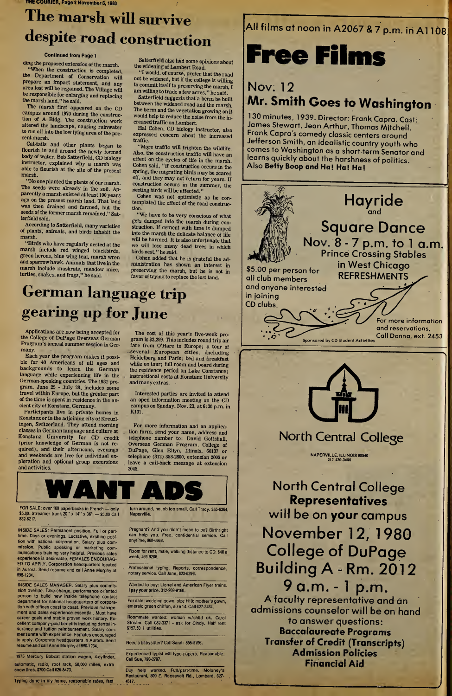# The marsh will survive despite road construction

#### Continued from Page <sup>1</sup>

ding the proposed extension of the marsh. "When the construction is completed, the Department of Conservation will prepare an impact statement, and any area lost will be regained. The Village will be responsible for enlarging and replacing the marsh land," he said.

The marsh first appeared on the CD campus around 1970 during the construction of A Bldg. The construction work altered the landscape, causing rainwater to run off into the low lying area of the present marsh.

Cat-tails and other plants began to flourish in and around the newly formed body of water. Bob Satterfield, CD biology instructor, explained why a marsh was able to flourish at the site of the present marsh.

No one planted the plants of our marsh. The seeds were already in the soil. Apparently a marsh existed at least <sup>100</sup> years ago on the present marsh land. That land was then drained and farmed, but the seeds of the former marsh remained," Satterfield said.

According to Satterfield, many varieties of plants, animals, and birds inhabit the marsh.

"Birds who have regularly nested at the marsh include red winged blackbirds, green herons, blue wing teal, marsh wren and sparrow hawk. Animals that live in the marsh include muskrats, meadow mice, turtles, snakes, and frogs," he said.

Satterfield also had some opinions about the widening of Lambert Road.

"I would, of course, prefer that the road not be widened, but if the college is willing to commit itself to preserving the marsh, I am willing to trade a few acres," he said.

Satterfield suggests that a berm be built between the widened road and the marsh. The berm and the vegetation growing on it would help to reduce the noise from the increased traffic on Lambert.

Hal Cohen, CD biology instructor, also expressed concern about the increased traffic.

"More traffic will frighten the wildlife. Also, the construction traffic will have an effect on the cycles of life in the marsh. Cohen said, "If construction occurs in the spring, the migrating birds may be scared off, and they may not return for years. If construction occurs in the summer, the nesting birds will be affected."

Cohen was not optimistic as he contemplated the effect of the road construction.

"We have to be very conscious of what gets dumped into the marsh during con struction. If cement with lime is dumped into the marsh the delicate balance of life will be harmed. It is also unfortunate that we will lose many dead trees in which birds nest," he said.

Cohen added that he is grateful the administration has shown an interest in preserving the marsh, but he is not in favor of trying to replace the lost land.

## All films at noon in A2067 & 7 p.m. in A1108.

# Free Films

## Nov. 12 Mr. Smith Goes to Washington

130 minutes, 1939. Director: Frank Capra. Cast: James Stewart, Jean Arthur, Thomas Mitchell. Frank Capra's comedy classic centers around Jefferson Smith, an idealistic country youth who comes to Washington as a short-term Senator and learns quickly about the harshness of politics Also Betty Boop and Ha! Ha! Ha!





### North Central College

NAPERVILLE. ILLINOIS 60540 312-420-3400

North Central College Representatives will be on your campus November 12, 1980 College of DuPage Building A - Rm. 2012

9 a.m. - <sup>1</sup> p.m. A faculty representative and an admissions counselor will be on hand to answer questions: Baccalaureate Programs Transfer of Credit (Transcripts) Admission Policies Financial Aid

# German language trip gearing up for June

Applications are now being accepted for the College of DuPage Overseas German Program's annual summer session in Germany.

Each year the program makes it possible for 40 Americans of all ages and backgrounds to learn the German language while experiencing life in the German-speaking countries. The 1981 pro gram, June 25 - July 28, includes some travel within Europe, but the greater part of the time is spent in residence in the ancient city of Konstanz, Germany.

Participants live in private homes in Konstanz or in the adjoining city of Kreuzlingen, Switzerland. They attend morning classes in German language and culture at Konstanz University for CD credit (prior knowledge of German is not required), and their afternoons, evenings and weekends are free for individual ex ploration and optional group excursions and activities.

The cost of this year's five-week program is \$2,299. This includes round trip air fare from O'Hare to Europe; a tour of several European cities, including Heidelberg and Paris; bed and breakfast while on tour; full room and board during the residence period on Lake Constance; instructional costs at Konstanz University and many extras.

Interested parties are invited to attend an open information meeting on the CD campus on Sunday, Nov. 23, at 6:30 p.m. in K131.

For more information and an application form, send your name, address and telephone number to: David Gottshall, Overseas German Program, College of DuPage, Glen Ellyn, Illinois, 60137 or telephone (312) 858-2800, extension 2009 or leave a call-back message at extension 2048.



FOR SALE: over 100 paperbacks in French — only turn around, no job too small. Call Tracy. 355-6364, 15.00. Streamer trunk 20" x 14" x 36" — \$5.00 Call Naperville.

INSIDE SALES: Permanent position. Full or parttime. Days or evenings. Lucrative, exciting position with national corporation. Salary plus com mission. Public speaking or marketing com munications training very helpful. Previous sales experience is desireable. FEMALES ENCOURAG-ED TO APPLY. Corporation headquarters located in Aurora. Send resume and call Anne Murphy at 898-1234.

INSIDE SALES MANAGER. Salary plus commission overide. Take-charge, performance oriented person to build new inside telephone contact department for national headquarters of corporation with offices coast to coast. Previous management and sales experience essential. Must have career goals and stable proven work history. Excellent company-paid benefits including dental insurance and tuition reimbursement. Salary com mensurate with experience. Females encouraged to apply. Corporate headquarters in Aurora. Send resume and call Anne Murphy at 898-1234.

1975 Mercury Bobcat station wagon, 4-cylinder, automatic, radio, roof rack, 56,000 miles, extra snow tires. \$700 Call 629-8473.

Typing done in my home, reasonable rates, fast

Pregnant? And you didn't mean to be? Birthright can help you. Free, confidential service. Call anytime, 968-6668.

Room for rent, male, walking distance to CD. \$40 a week, 469-9286. Professional typing. Reports, correspondence,

notary service. Call Jane, 833-6296.

Wanted to buy: Lionel and American Flyer trains. <sup>I</sup> pay your price. 312-969-9160.

For sale: wedding gown, size H10; mother's gown, emerald green chiffon, size 14. Call 627-2464.

Roommate wanted: woman w/child ok. Carol Stream. Call 682-3371 - ask for Cindy. Half rent  $$157.50 +$  utilities.

Need a babysitter? Call Sarah 858-9196.

Experienced typist will type papers. Reasonable. Call Sue, 790-2797.

Day help wanted. Full/part-time. Moloney's Restaurant, 800 E. Roosevelt Rd., Lombard. 627- 4617.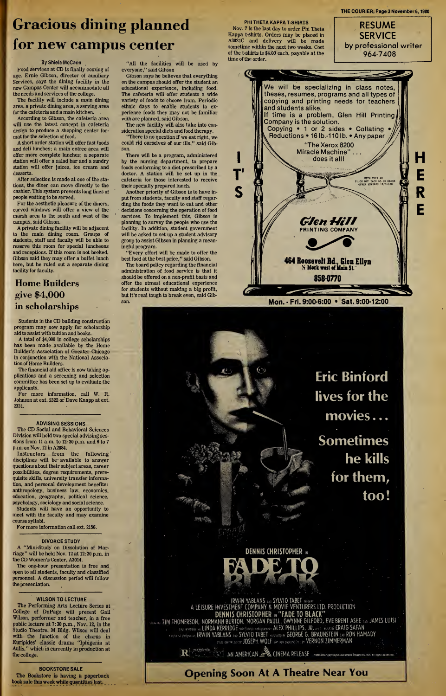# Gracious dining planned for new campus center

#### By Shiela McCann

Food services at CD is finally coming of age. Ernie Gibson, director of auxiliary Services, says the dining facility in the new Campus Center will accommodate all the needs and services of the college.

The facility will include a main dining area, a private dining area, a serving area for the cafeteria and amain kitchen.

According to Gibson, the cafeteria area will use the latest concept in cafeteria design to produce a shopping center format for the selection of food.

A short order station will offer fast foods and deli lunches; a main entree area will offer more complete lunches; a separate station will offer a salad bar and a sundry station will offer juices, ice cream and desserts.

After selection is made at one of the stations, the diner can move directly to the cashier. This system prevents long lines of people waiting to be served.

For the aesthetic pleasure of the diners, curved windows will offer a view of the marsh area to the south and west of the campus, said Gibson.

A private dining facility will be adjacent to the main dining room. Groups of students, staff and faculty will be able to reserve this room for special luncheons and receptions. If this room is not booked, Gibson said they may offer a buffet lunch here, but he ruled out a separate dining facility for faculty.

### Home Builders give \$4,000 in scholarships

Students in the CD building construction program may now apply for scholarship aid to assist with tuition and books.

A total of \$4,000 in college scholarships has been made available by the Home Builder's Association of Greater Chicago in conjunction with the National Association of Home Builders.

The financial aid office is now taking applications and a screening and selection committee has been set up to evaluate the applicants.

For more information, call W. R. Johnson at ext. <sup>2322</sup> or Dave Knapp at ext. 2331.

#### ADVISING SESSIONS

The CD Social and Behavioral Sciences Division will hold two special advising ses sions from <sup>11</sup> a.m. to 12:30 p.m. and 6 to 7 p.m. on Nov. 12 in A2084.

Instructors from the following disciplines will be available to answer questions about their subject areas, career possibilities, degree requirements, prerequisite skills, university transfer information, and personal development benefits: anthropology, business law, economics, education, geography, political science, psychology, sociology and social science. Students will have an opportunity to

meet with the faculty and may examine course syllabi.

For more information call ext. 2156.

#### DIVORCE STUDY

A "Mini-Study on Dissolution of Mar riage" will be held Nov. <sup>12</sup> at 12:30 p.m. in the CD Women's Center, A3014.

The one-hour presentation is free and open to all students, faculty and classified personnel. A discussion period will follow the presentation.

#### WILSON TO LECTURE

The Performing Arts Lecture Series at College of DuPage will present Gail Wilson, performer and teacher, in a free public lecture at 7:30 p.m., Nov. 12, in the Studio Theatre, M Bldg. Wilson will deal with the function of the chorus in Euripides' classic drama "Iphigenia at Aulis," which is currently in production at the college.

BOOKSTORESALE

The Bookstore is having a paperback book sale this week while quantities last.

"All the facilities will be used by everyone," said Gibson

Gibson says he believes that everything on the campus should offer the student an educational experience, including food. The cafeteria will offer students a wide variety of foods to choose from. Periodic ethnic days to enable students to experience foods they may not be familiar with are planned, said Gibson.

The new facility will also take into consideration special diets and food therapy. "There is no question if we eat right, we

could rid ourselves of our ills," said Gibson. There will be a program, administered

by the nursing department, to prepare foods conforming to a diet prescribed by a doctor. A station will be set up in the cafeteria for those interested to receive their specially prepared lunch.

Another priority of Gibson is to have in put from students, faculty and staff regarding the foods they want to eat and other decisions concerning the operation of food services. To implement this, Gibson is planning to survey the people who use the facility. In addition, student government will be asked to set up a student advisory group to assist Gibson in planning a mean ingful program.

"Every effort will be made to offer the best food at the best price," said Gibson.

The board policy regarding the financial administration of food service is that it should be offered on a non-profit basis and offer the utmost educational experience for students without making a big profit, but it's real tough to break even, said Gibson.

PHI THETA KAPPA T-SHIRTS Nov. 7 is the last day to order Phi Theta Kappa t-shirts. Orders may be placed in A3021C and delivery will be made sometime within the next two weeks. Cost of the t-shirts is \$4.00 each, payable at the time of the order.



THE COURIER, Page 3 November 6,1980



Eric Binford lives for the movies... Sometimes he kills for them, too!

DENNIS CHRISTOPHER



IRWIN YABLANS SYLVIO TABET A LEISURE INVESTMENT COMPANY & MOVIE VENTURERS LTD. PRODUCTION DENNIS CHRISTOPHER ,»"FADE TO BLACK" TIM THOMERSON, NORMANN BURTON, MORGAN PAULL, GWYNNE GILFORD, EVE BRENT ASHE AND JAMES LUISI<br>i linda www.washer. LINDA KERRIDGE sartury renugeared ALEX PHILLIPS, JR. m s = wuxub CRAIG SAFAN WWW IRWIN YABLANS ... SYLVIO TABET FRESIGED & GEORGE G. BRAUNSTEIN AND RON HAMADY

e Date **JUSEPH WOLF** Weish Messentho**n VERNON ZIMMERMAN** 

 $\mathbf{R}^{\text{leefficient}}$  AN AMERICAN  $\blacksquare$  CINEMA RELEASE  $\blacksquare$  the antistation (nountries, lng. All rights

### Opening Soon At A Theatre Near You